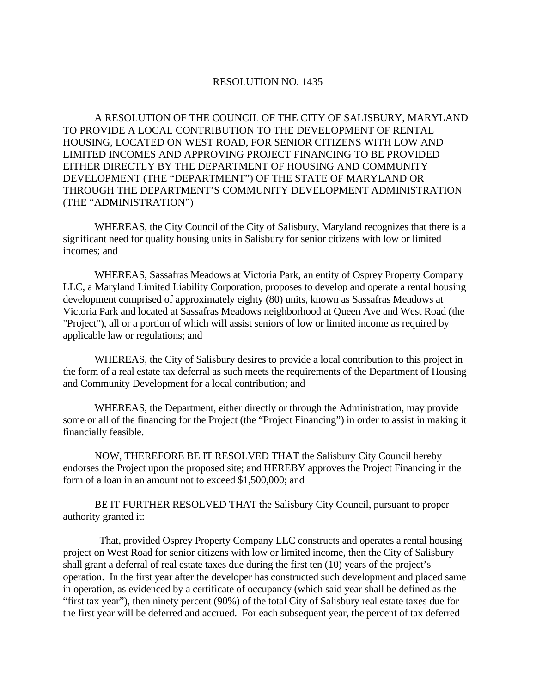## RESOLUTION NO. 1435

A RESOLUTION OF THE COUNCIL OF THE CITY OF SALISBURY, MARYLAND TO PROVIDE A LOCAL CONTRIBUTION TO THE DEVELOPMENT OF RENTAL HOUSING, LOCATED ON WEST ROAD, FOR SENIOR CITIZENS WITH LOW AND LIMITED INCOMES AND APPROVING PROJECT FINANCING TO BE PROVIDED EITHER DIRECTLY BY THE DEPARTMENT OF HOUSING AND COMMUNITY DEVELOPMENT (THE "DEPARTMENT") OF THE STATE OF MARYLAND OR THROUGH THE DEPARTMENT'S COMMUNITY DEVELOPMENT ADMINISTRATION (THE "ADMINISTRATION")

 WHEREAS, the City Council of the City of Salisbury, Maryland recognizes that there is a significant need for quality housing units in Salisbury for senior citizens with low or limited incomes; and

 WHEREAS, Sassafras Meadows at Victoria Park, an entity of Osprey Property Company LLC, a Maryland Limited Liability Corporation, proposes to develop and operate a rental housing development comprised of approximately eighty (80) units, known as Sassafras Meadows at Victoria Park and located at Sassafras Meadows neighborhood at Queen Ave and West Road (the "Project"), all or a portion of which will assist seniors of low or limited income as required by applicable law or regulations; and

 WHEREAS, the City of Salisbury desires to provide a local contribution to this project in the form of a real estate tax deferral as such meets the requirements of the Department of Housing and Community Development for a local contribution; and

 WHEREAS, the Department, either directly or through the Administration, may provide some or all of the financing for the Project (the "Project Financing") in order to assist in making it financially feasible.

 NOW, THEREFORE BE IT RESOLVED THAT the Salisbury City Council hereby endorses the Project upon the proposed site; and HEREBY approves the Project Financing in the form of a loan in an amount not to exceed \$1,500,000; and

 BE IT FURTHER RESOLVED THAT the Salisbury City Council, pursuant to proper authority granted it:

 That, provided Osprey Property Company LLC constructs and operates a rental housing project on West Road for senior citizens with low or limited income, then the City of Salisbury shall grant a deferral of real estate taxes due during the first ten (10) years of the project's operation. In the first year after the developer has constructed such development and placed same in operation, as evidenced by a certificate of occupancy (which said year shall be defined as the "first tax year"), then ninety percent (90%) of the total City of Salisbury real estate taxes due for the first year will be deferred and accrued. For each subsequent year, the percent of tax deferred